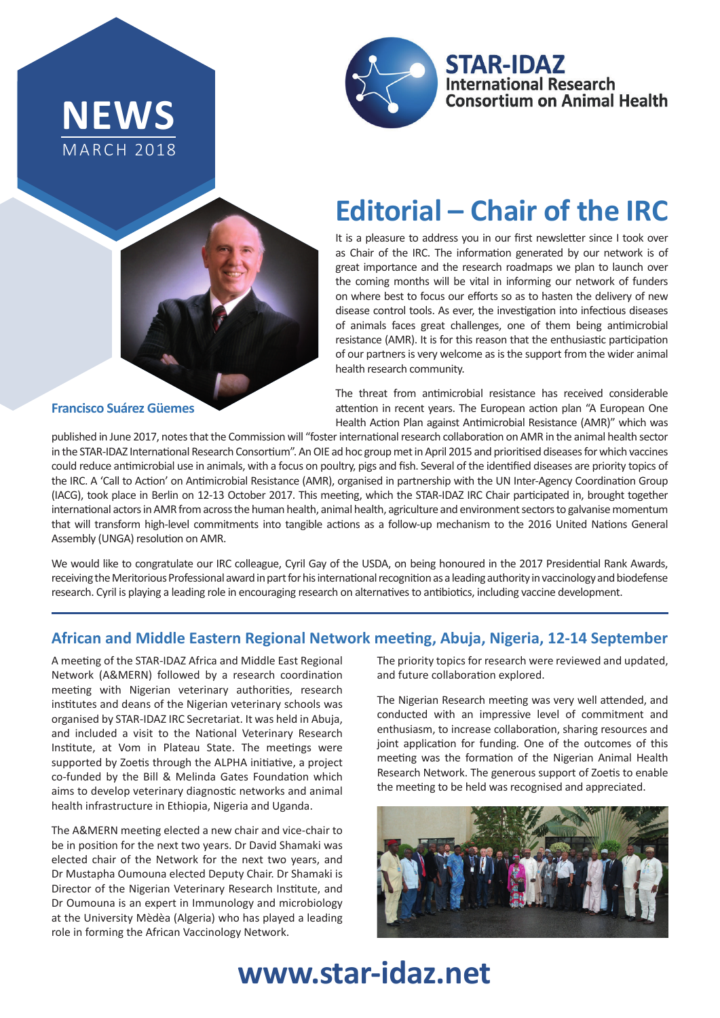





# **Editorial – Chair of the IRC**

It is a pleasure to address you in our first newsletter since I took over as Chair of the IRC. The information generated by our network is of great importance and the research roadmaps we plan to launch over the coming months will be vital in informing our network of funders on where best to focus our efforts so as to hasten the delivery of new disease control tools. As ever, the investigation into infectious diseases of animals faces great challenges, one of them being antimicrobial resistance (AMR). It is for this reason that the enthusiastic participation of our partners is very welcome as is the support from the wider animal health research community.

The threat from antimicrobial resistance has received considerable attention in recent years. The European action plan "A European One Health Action Plan against Antimicrobial Resistance (AMR)" which was

published in June 2017, notes that the Commission will "foster international research collaboration on AMR in the animal health sector in the STAR-IDAZ International Research Consortium". An OIE ad hoc group met in April 2015 and prioritised diseases for which vaccines could reduce antimicrobial use in animals, with a focus on poultry, pigs and fish. Several of the identified diseases are priority topics of the IRC. A 'Call to Action' on Antimicrobial Resistance (AMR), organised in partnership with the UN Inter-Agency Coordination Group (IACG), took place in Berlin on 12-13 October 2017. This meeting, which the STAR-IDAZ IRC Chair participated in, brought together international actors in AMR from across the human health, animal health, agriculture and environment sectors to galvanise momentum that will transform high-level commitments into tangible actions as a follow-up mechanism to the 2016 United Nations General Assembly (UNGA) resolution on AMR.

We would like to congratulate our IRC colleague, Cyril Gay of the USDA, on being honoured in the 2017 Presidential Rank Awards, receiving the Meritorious Professional award in part for his international recognition as a leading authority in vaccinology and biodefense research. Cyril is playing a leading role in encouraging research on alternatives to antibiotics, including vaccine development.

#### **African and Middle Eastern Regional Network meeting, Abuja, Nigeria, 12-14 September**

A meeting of the STAR-IDAZ Africa and Middle East Regional Network (A&MERN) followed by a research coordination meeting with Nigerian veterinary authorities, research institutes and deans of the Nigerian veterinary schools was organised by STAR-IDAZ IRC Secretariat. It was held in Abuja, and included a visit to the National Veterinary Research Institute, at Vom in Plateau State. The meetings were supported by Zoetis through the ALPHA initiative, a project co-funded by the Bill & Melinda Gates Foundation which aims to develop veterinary diagnostic networks and animal health infrastructure in Ethiopia, Nigeria and Uganda.

The A&MERN meeting elected a new chair and vice-chair to be in position for the next two years. Dr David Shamaki was elected chair of the Network for the next two years, and Dr Mustapha Oumouna elected Deputy Chair. Dr Shamaki is Director of the Nigerian Veterinary Research Institute, and Dr Oumouna is an expert in Immunology and microbiology at the University Mèdèa (Algeria) who has played a leading role in forming the African Vaccinology Network.

The priority topics for research were reviewed and updated, and future collaboration explored.

The Nigerian Research meeting was very well attended, and conducted with an impressive level of commitment and enthusiasm, to increase collaboration, sharing resources and joint application for funding. One of the outcomes of this meeting was the formation of the Nigerian Animal Health Research Network. The generous support of Zoetis to enable the meeting to be held was recognised and appreciated.



## **www.star-idaz.net**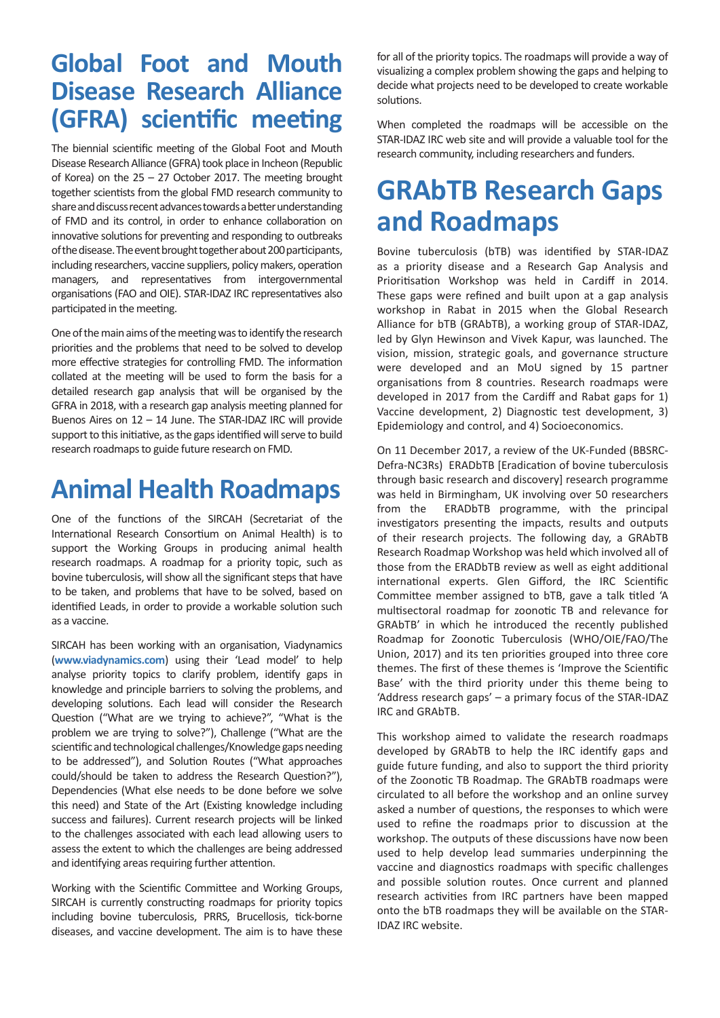### **Global Foot and Mouth Disease Research Alliance (GFRA) scientific meeting**

The biennial scientific meeting of the Global Foot and Mouth Disease Research Alliance (GFRA) took place in Incheon (Republic of Korea) on the 25 – 27 October 2017. The meeting brought together scientists from the global FMD research community to share and discuss recent advances towards a better understanding of FMD and its control, in order to enhance collaboration on innovative solutions for preventing and responding to outbreaks of the disease. The event brought together about 200 participants, including researchers, vaccine suppliers, policy makers, operation managers, and representatives from intergovernmental organisations (FAO and OIE). STAR-IDAZ IRC representatives also participated in the meeting.

One of the main aims of the meeting was to identify the research priorities and the problems that need to be solved to develop more effective strategies for controlling FMD. The information collated at the meeting will be used to form the basis for a detailed research gap analysis that will be organised by the GFRA in 2018, with a research gap analysis meeting planned for Buenos Aires on 12 – 14 June. The STAR-IDAZ IRC will provide support to this initiative, as the gaps identified will serve to build research roadmaps to guide future research on FMD.

### **Animal Health Roadmaps**

One of the functions of the SIRCAH (Secretariat of the International Research Consortium on Animal Health) is to support the Working Groups in producing animal health research roadmaps. A roadmap for a priority topic, such as bovine tuberculosis, will show all the significant steps that have to be taken, and problems that have to be solved, based on identified Leads, in order to provide a workable solution such as a vaccine.

SIRCAH has been working with an organisation, Viadynamics (**www.viadynamics.com**) using their 'Lead model' to help analyse priority topics to clarify problem, identify gaps in knowledge and principle barriers to solving the problems, and developing solutions. Each lead will consider the Research Question ("What are we trying to achieve?", "What is the problem we are trying to solve?"), Challenge ("What are the scientific and technological challenges/Knowledge gaps needing to be addressed"), and Solution Routes ("What approaches could/should be taken to address the Research Question?"), Dependencies (What else needs to be done before we solve this need) and State of the Art (Existing knowledge including success and failures). Current research projects will be linked to the challenges associated with each lead allowing users to assess the extent to which the challenges are being addressed and identifying areas requiring further attention.

Working with the Scientific Committee and Working Groups, SIRCAH is currently constructing roadmaps for priority topics including bovine tuberculosis, PRRS, Brucellosis, tick-borne diseases, and vaccine development. The aim is to have these

for all of the priority topics. The roadmaps will provide a way of visualizing a complex problem showing the gaps and helping to decide what projects need to be developed to create workable solutions.

When completed the roadmaps will be accessible on the STAR-IDAZ IRC web site and will provide a valuable tool for the research community, including researchers and funders.

## **GRAbTB Research Gaps and Roadmaps**

Bovine tuberculosis (bTB) was identified by STAR-IDAZ as a priority disease and a Research Gap Analysis and Prioritisation Workshop was held in Cardiff in 2014. These gaps were refined and built upon at a gap analysis workshop in Rabat in 2015 when the Global Research Alliance for bTB (GRAbTB), a working group of STAR-IDAZ, led by Glyn Hewinson and Vivek Kapur, was launched. The vision, mission, strategic goals, and governance structure were developed and an MoU signed by 15 partner organisations from 8 countries. Research roadmaps were developed in 2017 from the Cardiff and Rabat gaps for 1) Vaccine development, 2) Diagnostic test development, 3) Epidemiology and control, and 4) Socioeconomics.

On 11 December 2017, a review of the UK-Funded (BBSRC-Defra-NC3Rs) ERADbTB [Eradication of bovine tuberculosis through basic research and discovery] research programme was held in Birmingham, UK involving over 50 researchers from the ERADbTB programme, with the principal investigators presenting the impacts, results and outputs of their research projects. The following day, a GRAbTB Research Roadmap Workshop was held which involved all of those from the ERADbTB review as well as eight additional international experts. Glen Gifford, the IRC Scientific Committee member assigned to bTB, gave a talk titled 'A multisectoral roadmap for zoonotic TB and relevance for GRAbTB' in which he introduced the recently published Roadmap for Zoonotic Tuberculosis (WHO/OIE/FAO/The Union, 2017) and its ten priorities grouped into three core themes. The first of these themes is 'Improve the Scientific Base' with the third priority under this theme being to 'Address research gaps' – a primary focus of the STAR-IDAZ IRC and GRAbTB.

This workshop aimed to validate the research roadmaps developed by GRAbTB to help the IRC identify gaps and guide future funding, and also to support the third priority of the Zoonotic TB Roadmap. The GRAbTB roadmaps were circulated to all before the workshop and an online survey asked a number of questions, the responses to which were used to refine the roadmaps prior to discussion at the workshop. The outputs of these discussions have now been used to help develop lead summaries underpinning the vaccine and diagnostics roadmaps with specific challenges and possible solution routes. Once current and planned research activities from IRC partners have been mapped onto the bTB roadmaps they will be available on the STAR-IDAZ IRC website.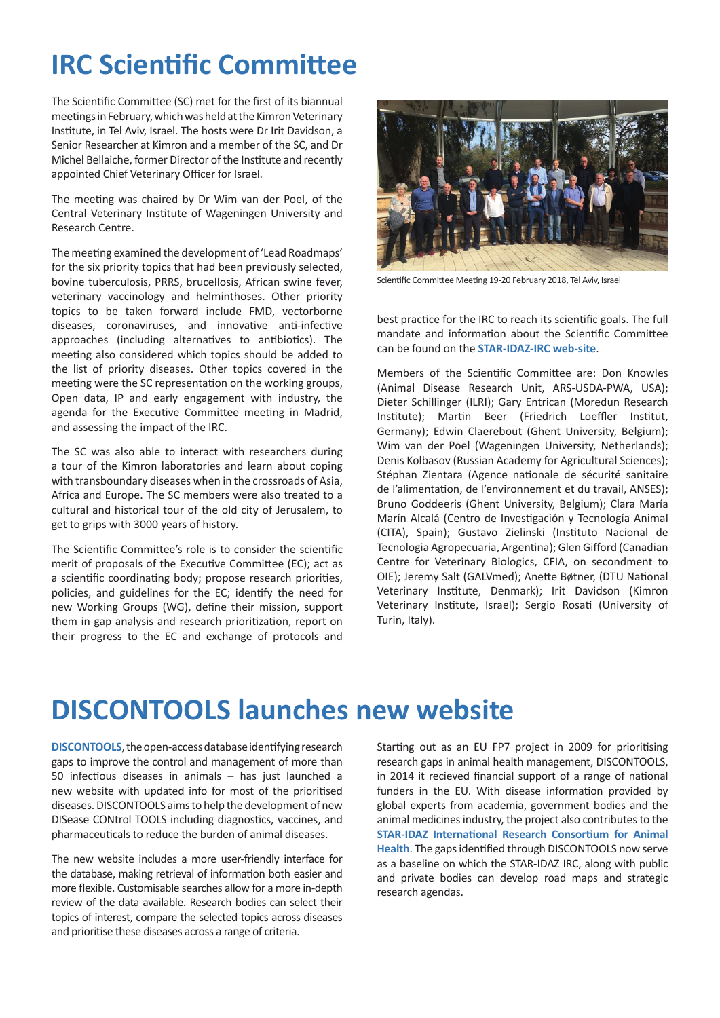# **IRC Scientific Committee**

The Scientific Committee (SC) met for the first of its biannual meetings in February, which was held at the Kimron Veterinary Institute, in Tel Aviv, Israel. The hosts were Dr Irit Davidson, a Senior Researcher at Kimron and a member of the SC, and Dr Michel Bellaiche, former Director of the Institute and recently appointed Chief Veterinary Officer for Israel.

The meeting was chaired by Dr Wim van der Poel, of the Central Veterinary Institute of Wageningen University and Research Centre.

The meeting examined the development of 'Lead Roadmaps' for the six priority topics that had been previously selected, bovine tuberculosis, PRRS, brucellosis, African swine fever, veterinary vaccinology and helminthoses. Other priority topics to be taken forward include FMD, vectorborne diseases, coronaviruses, and innovative anti-infective approaches (including alternatives to antibiotics). The meeting also considered which topics should be added to the list of priority diseases. Other topics covered in the meeting were the SC representation on the working groups, Open data, IP and early engagement with industry, the agenda for the Executive Committee meeting in Madrid, and assessing the impact of the IRC.

The SC was also able to interact with researchers during a tour of the Kimron laboratories and learn about coping with transboundary diseases when in the crossroads of Asia, Africa and Europe. The SC members were also treated to a cultural and historical tour of the old city of Jerusalem, to get to grips with 3000 years of history.

The Scientific Committee's role is to consider the scientific merit of proposals of the Executive Committee (EC); act as a scientific coordinating body; propose research priorities, policies, and guidelines for the EC; identify the need for new Working Groups (WG), define their mission, support them in gap analysis and research prioritization, report on their progress to the EC and exchange of protocols and



Scientific Committee Meeting 19-20 February 2018, Tel Aviv, Israel

best practice for the IRC to reach its scientific goals. The full mandate and information about the Scientific Committee can be found on the **STAR-IDAZ-IRC web-site**.

Members of the Scientific Committee are: Don Knowles (Animal Disease Research Unit, ARS-USDA-PWA, USA); Dieter Schillinger (ILRI); Gary Entrican (Moredun Research Institute); Martin Beer (Friedrich Loeffler Institut, Germany); Edwin Claerebout (Ghent University, Belgium); Wim van der Poel (Wageningen University, Netherlands); Denis Kolbasov (Russian Academy for Agricultural Sciences); Stéphan Zientara (Agence nationale de sécurité sanitaire de l'alimentation, de l'environnement et du travail, ANSES); Bruno Goddeeris (Ghent University, Belgium); Clara María Marín Alcalá (Centro de Investigación y Tecnología Animal (CITA), Spain); Gustavo Zielinski (Instituto Nacional de Tecnologia Agropecuaria, Argentina); Glen Gifford (Canadian Centre for Veterinary Biologics, CFIA, on secondment to OIE); Jeremy Salt (GALVmed); Anette Bøtner, (DTU National Veterinary Institute, Denmark); Irit Davidson (Kimron Veterinary Institute, Israel); Sergio Rosati (University of Turin, Italy).

### **DISCONTOOLS launches new website**

**DISCONTOOLS**, the open-access database identifying research gaps to improve the control and management of more than 50 infectious diseases in animals – has just launched a new website with updated info for most of the prioritised diseases. DISCONTOOLS aims to help the development of new DISease CONtrol TOOLS including diagnostics, vaccines, and pharmaceuticals to reduce the burden of animal diseases.

The new website includes a more user-friendly interface for the database, making retrieval of information both easier and more flexible. Customisable searches allow for a more in-depth review of the data available. Research bodies can select their topics of interest, compare the selected topics across diseases and prioritise these diseases across a range of criteria.

Starting out as an EU FP7 project in 2009 for prioritising research gaps in animal health management, DISCONTOOLS, in 2014 it recieved financial support of a range of national funders in the EU. With disease information provided by global experts from academia, government bodies and the animal medicines industry, the project also contributes to the **STAR-IDAZ International Research Consortium for Animal Health**. The gaps identified through DISCONTOOLS now serve as a baseline on which the STAR-IDAZ IRC, along with public and private bodies can develop road maps and strategic research agendas.